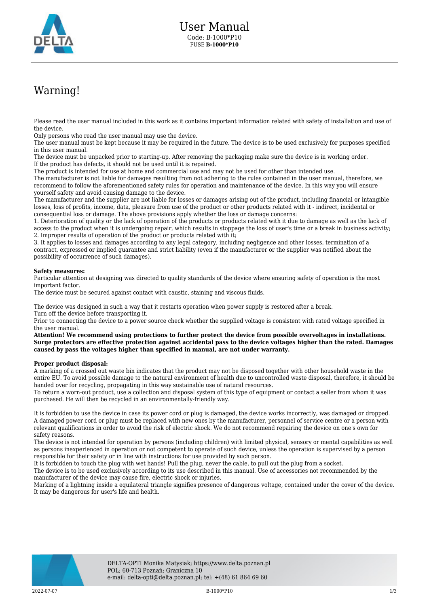

## Warning!

Please read the user manual included in this work as it contains important information related with safety of installation and use of the device.

Only persons who read the user manual may use the device.

The user manual must be kept because it may be required in the future. The device is to be used exclusively for purposes specified in this user manual.

The device must be unpacked prior to starting-up. After removing the packaging make sure the device is in working order. If the product has defects, it should not be used until it is repaired.

The product is intended for use at home and commercial use and may not be used for other than intended use.

The manufacturer is not liable for damages resulting from not adhering to the rules contained in the user manual, therefore, we recommend to follow the aforementioned safety rules for operation and maintenance of the device. In this way you will ensure yourself safety and avoid causing damage to the device.

The manufacturer and the supplier are not liable for losses or damages arising out of the product, including financial or intangible losses, loss of profits, income, data, pleasure from use of the product or other products related with it - indirect, incidental or consequential loss or damage. The above provisions apply whether the loss or damage concerns:

1. Deterioration of quality or the lack of operation of the products or products related with it due to damage as well as the lack of access to the product when it is undergoing repair, which results in stoppage the loss of user's time or a break in business activity; 2. Improper results of operation of the product or products related with it;

3. It applies to losses and damages according to any legal category, including negligence and other losses, termination of a contract, expressed or implied guarantee and strict liability (even if the manufacturer or the supplier was notified about the possibility of occurrence of such damages).

## **Safety measures:**

Particular attention at designing was directed to quality standards of the device where ensuring safety of operation is the most important factor.

The device must be secured against contact with caustic, staining and viscous fluids.

The device was designed in such a way that it restarts operation when power supply is restored after a break. Turn off the device before transporting it.

Prior to connecting the device to a power source check whether the supplied voltage is consistent with rated voltage specified in the user manual.

**Attention! We recommend using protections to further protect the device from possible overvoltages in installations. Surge protectors are effective protection against accidental pass to the device voltages higher than the rated. Damages caused by pass the voltages higher than specified in manual, are not under warranty.**

## **Proper product disposal:**

A marking of a crossed out waste bin indicates that the product may not be disposed together with other household waste in the entire EU. To avoid possible damage to the natural environment of health due to uncontrolled waste disposal, therefore, it should be handed over for recycling, propagating in this way sustainable use of natural resources.

To return a worn-out product, use a collection and disposal system of this type of equipment or contact a seller from whom it was purchased. He will then be recycled in an environmentally-friendly way.

It is forbidden to use the device in case its power cord or plug is damaged, the device works incorrectly, was damaged or dropped. A damaged power cord or plug must be replaced with new ones by the manufacturer, personnel of service centre or a person with relevant qualifications in order to avoid the risk of electric shock. We do not recommend repairing the device on one's own for safety reasons.

The device is not intended for operation by persons (including children) with limited physical, sensory or mental capabilities as well as persons inexperienced in operation or not competent to operate of such device, unless the operation is supervised by a person responsible for their safety or in line with instructions for use provided by such person.

It is forbidden to touch the plug with wet hands! Pull the plug, never the cable, to pull out the plug from a socket.

The device is to be used exclusively according to its use described in this manual. Use of accessories not recommended by the manufacturer of the device may cause fire, electric shock or injuries.

Marking of a lightning inside a equilateral triangle signifies presence of dangerous voltage, contained under the cover of the device. It may be dangerous for user's life and health.

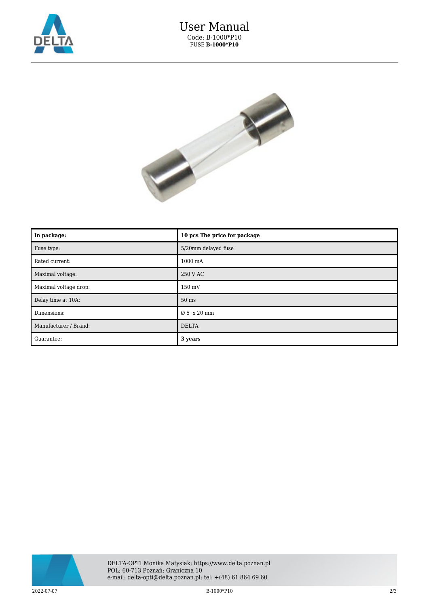



| In package:           | 10 pcs The price for package |
|-----------------------|------------------------------|
| Fuse type:            | 5/20mm delayed fuse          |
| Rated current:        | $1000 \text{ mA}$            |
| Maximal voltage:      | 250 V AC                     |
| Maximal voltage drop: | 150 mV                       |
| Delay time at 10A:    | $50$ ms                      |
| Dimensions:           | Ø 5 x 20 mm                  |
| Manufacturer / Brand: | <b>DELTA</b>                 |
| Guarantee:            | 3 years                      |



 $\rm{B\text{-}1000{*}P10} \hspace{1.5cm} 2/3$